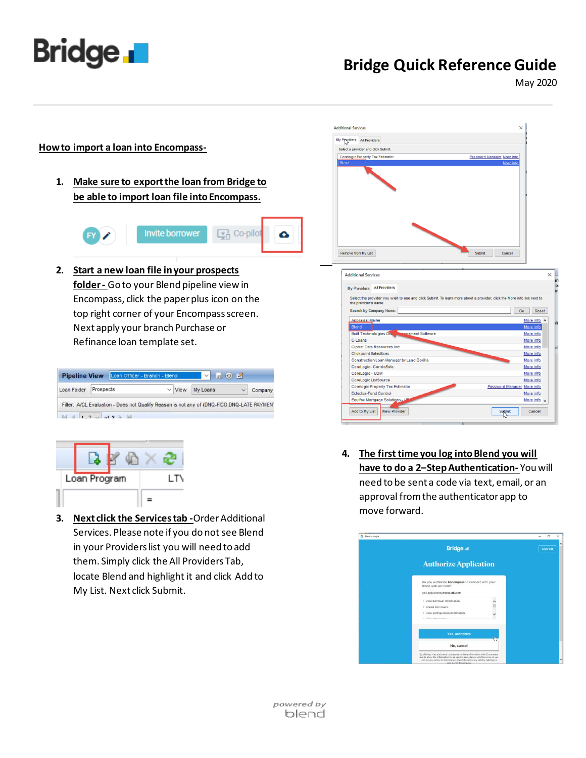

## **Bridge Quick Reference Guide**

May 2020

## **Howto import a loan into Encompass-**

**1. Make sure to export the loan from Bridge to be able to import loan file into Encompass.**



**2. Start a new loan file in your prospects folder -** Go to your Blend pipeline view in Encompass, click the paper plus icon on the top right corner of your Encompass screen. Next apply your branch Purchase or Refinance loan template set.

| Loan Folder | Prospects                                                                                  | $\vee$ View | My Loans |  | Company |
|-------------|--------------------------------------------------------------------------------------------|-------------|----------|--|---------|
|             |                                                                                            |             |          |  |         |
|             |                                                                                            |             |          |  |         |
|             |                                                                                            |             |          |  |         |
|             | Filter: A/CL Evaluation - Does not Qualify Reason is not any of (DNQ-FICO;DNQ-LATE PAYMENT |             |          |  |         |
|             |                                                                                            |             |          |  |         |
|             |                                                                                            |             |          |  |         |
|             |                                                                                            |             |          |  |         |



**3. Next click the Services tab -**Order Additional Services. Please note if you do not see Blend in your Providers list you will need to add them. Simply click the All Providers Tab, locate Blend and highlight it and click Add to My List. Next click Submit.



**4. The first time you log into Blend you will have to do a 2–Step Authentication-** You will need to be sent a code via text, email, or an approval from the authenticator app to move forward.

| <b>Q</b> Blend - Login |                                                                                                                                                                                                                                                                    | $\square$<br>$\sim$ |
|------------------------|--------------------------------------------------------------------------------------------------------------------------------------------------------------------------------------------------------------------------------------------------------------------|---------------------|
|                        | <b>Bridge</b>                                                                                                                                                                                                                                                      | <b>Sign out</b>     |
|                        | <b>Authorize Application</b>                                                                                                                                                                                                                                       |                     |
|                        | Do you authorize Encompass to connect with your<br>Blend web account?<br>This application will be able to:<br>· View borrower information.                                                                                                                         |                     |
|                        | · Create borrowers.<br>· View configuration information.<br>and discussion and contact the state                                                                                                                                                                   |                     |
|                        | Yes, authorize                                                                                                                                                                                                                                                     |                     |
|                        | No. cancel                                                                                                                                                                                                                                                         |                     |
|                        | By clicking 'Yes, authorize', you agree to share information with Encompass<br>and to allow the information to be used in accordance with the terms of use.<br>and privacy policy of Encompass. Blend doclaims any liability relating to<br>your use of Encompass. |                     |

powered by blend